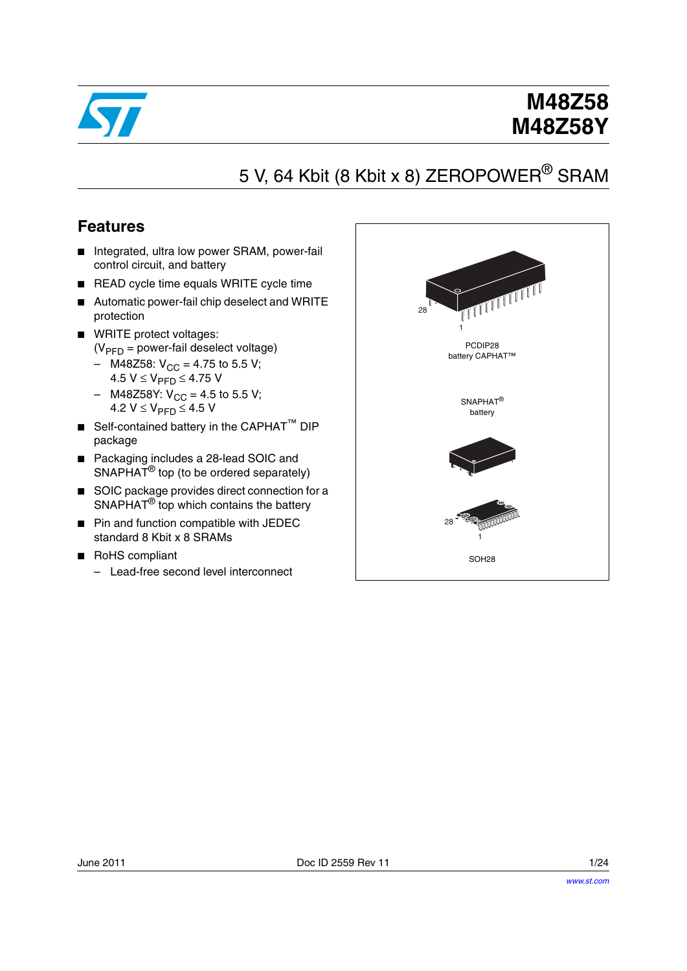

# **M48Z58 M48Z58Y**

# 5 V, 64 Kbit (8 Kbit x 8) ZEROPOWER<sup>®</sup> SRAM

### **Features**

- Integrated, ultra low power SRAM, power-fail control circuit, and battery
- READ cycle time equals WRITE cycle time
- Automatic power-fail chip deselect and WRITE protection
- WRITE protect voltages:  $(V_{\text{PFD}} =$  power-fail deselect voltage)
	- M48Z58:  $V_{CC}$  = 4.75 to 5.5 V; 4.5  $V$  ≤  $V_{\text{PFD}}$  ≤ 4.75 V
	- M48Z58Y:  $V_{CC}$  = 4.5 to 5.5 V; 4.2  $V$  ≤  $V_{\text{PFD}}$  ≤ 4.5 V
- Self-contained battery in the CAPHAT<sup>™</sup> DIP package
- Packaging includes a 28-lead SOIC and SNAPHAT<sup>®</sup> top (to be ordered separately)
- SOIC package provides direct connection for a SNAPHAT<sup>®</sup> top which contains the battery
- Pin and function compatible with JEDEC standard 8 Kbit x 8 SRAMs
- RoHS compliant
	- Lead-free second level interconnect

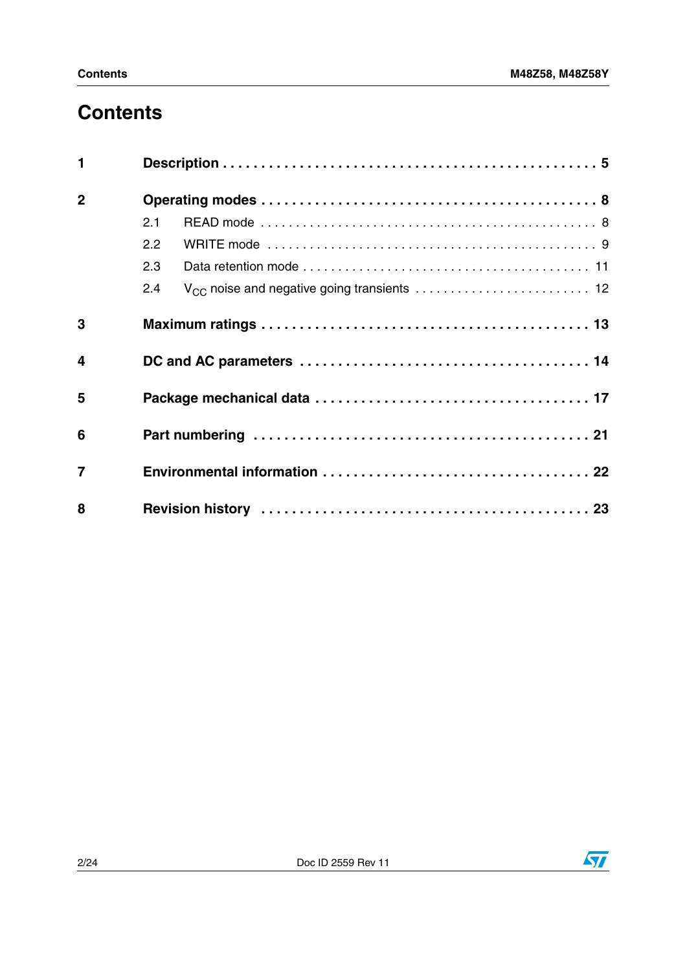# **Contents**

| $\mathbf{1}$   |     |  |  |  |  |
|----------------|-----|--|--|--|--|
| $\overline{2}$ |     |  |  |  |  |
|                | 2.1 |  |  |  |  |
|                | 2.2 |  |  |  |  |
|                | 2.3 |  |  |  |  |
|                | 2.4 |  |  |  |  |
| 3              |     |  |  |  |  |
| $\overline{4}$ |     |  |  |  |  |
| 5              |     |  |  |  |  |
| 6              |     |  |  |  |  |
| $\overline{7}$ |     |  |  |  |  |
| 8              |     |  |  |  |  |

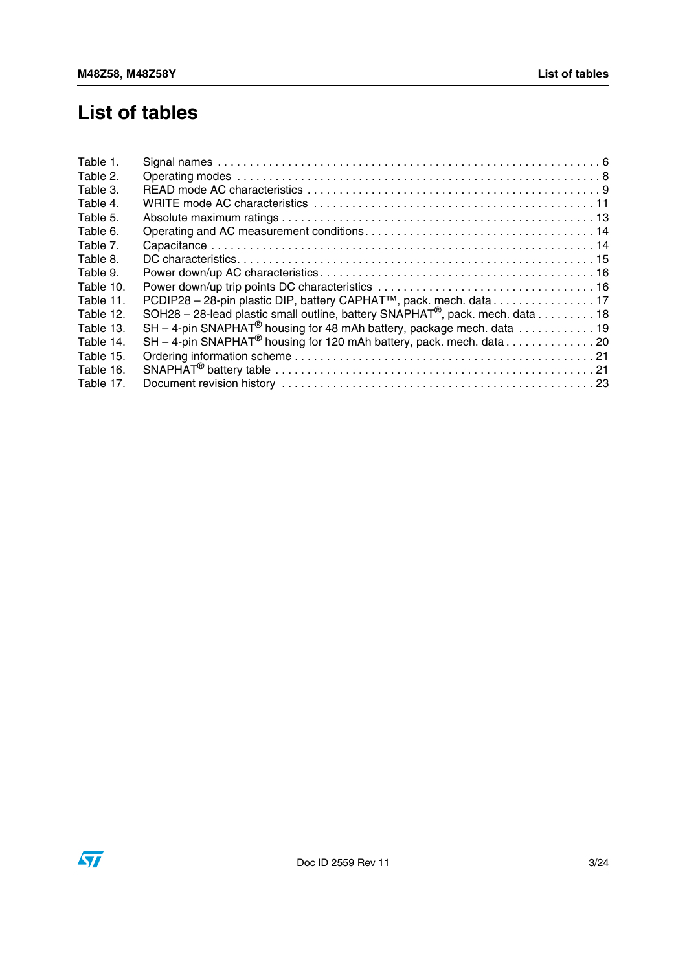# **List of tables**

| Table 1.  |                                                                                           |
|-----------|-------------------------------------------------------------------------------------------|
| Table 2.  |                                                                                           |
| Table 3.  |                                                                                           |
| Table 4.  |                                                                                           |
| Table 5.  |                                                                                           |
| Table 6.  |                                                                                           |
| Table 7.  |                                                                                           |
| Table 8.  |                                                                                           |
| Table 9.  |                                                                                           |
| Table 10. |                                                                                           |
| Table 11. | PCDIP28 - 28-pin plastic DIP, battery CAPHAT <sup>™</sup> , pack. mech. data17            |
| Table 12. | SOH28 – 28-lead plastic small outline, battery SNAPHAT <sup>®</sup> , pack. mech. data 18 |
| Table 13. | $SH - 4$ -pin SNAPHAT <sup>®</sup> housing for 48 mAh battery, package mech. data 19      |
| Table 14. |                                                                                           |
| Table 15. |                                                                                           |
| Table 16. |                                                                                           |
| Table 17. |                                                                                           |
|           |                                                                                           |

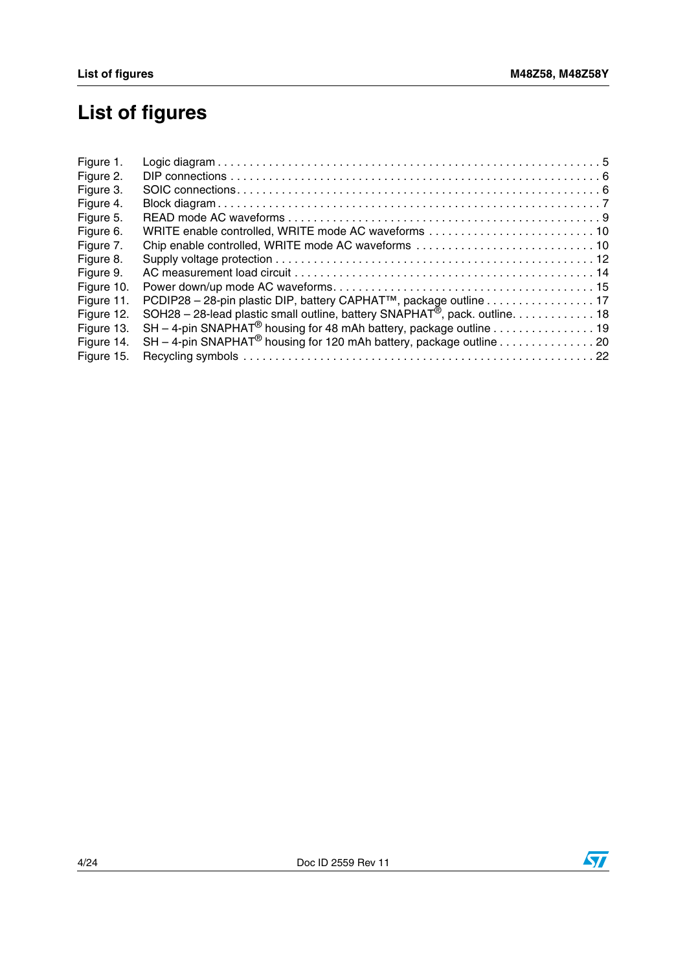# **List of figures**

| Figure 1.  |                                                                                         |  |
|------------|-----------------------------------------------------------------------------------------|--|
| Figure 2.  |                                                                                         |  |
| Figure 3.  |                                                                                         |  |
| Figure 4.  |                                                                                         |  |
| Figure 5.  |                                                                                         |  |
| Figure 6.  | WRITE enable controlled, WRITE mode AC waveforms  10                                    |  |
| Figure 7.  |                                                                                         |  |
| Figure 8.  |                                                                                         |  |
| Figure 9.  |                                                                                         |  |
| Figure 10. |                                                                                         |  |
| Figure 11. | PCDIP28 - 28-pin plastic DIP, battery CAPHAT™, package outline 17                       |  |
| Figure 12. | SOH28 - 28-lead plastic small outline, battery SNAPHAT <sup>®</sup> , pack. outline. 18 |  |
| Figure 13. | $SH - 4$ -pin SNAPHAT <sup>®</sup> housing for 48 mAh battery, package outline 19       |  |
| Figure 14. | $SH - 4$ -pin SNAPHAT <sup>®</sup> housing for 120 mAh battery, package outline 20      |  |
| Figure 15. |                                                                                         |  |
|            |                                                                                         |  |

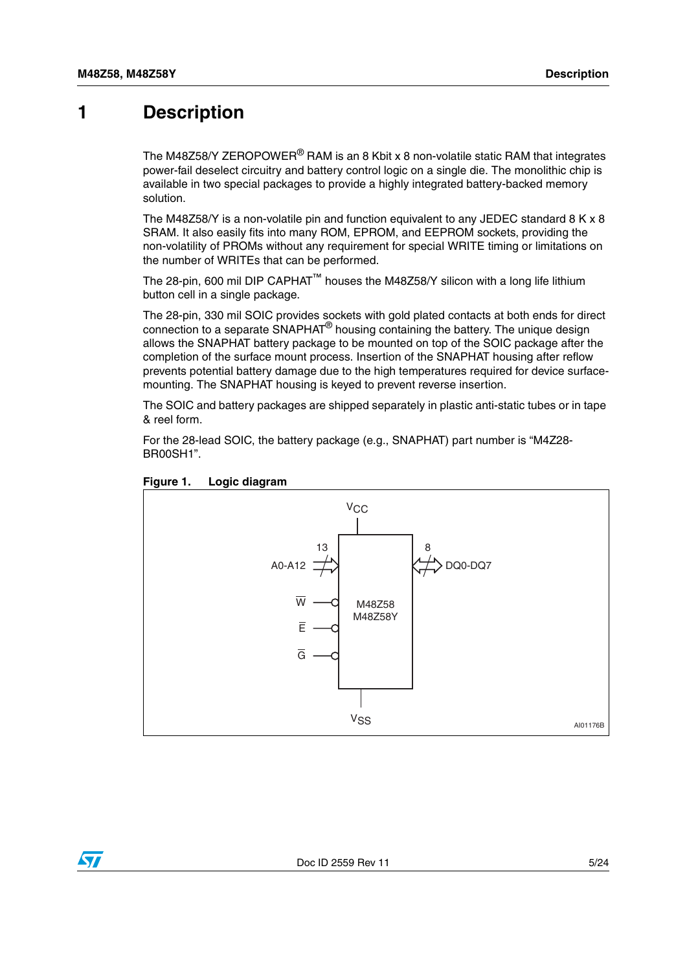### <span id="page-4-0"></span>**1 Description**

The M48Z58/Y ZEROPOWER<sup>®</sup> RAM is an 8 Kbit x 8 non-volatile static RAM that integrates power-fail deselect circuitry and battery control logic on a single die. The monolithic chip is available in two special packages to provide a highly integrated battery-backed memory solution.

The M48Z58/Y is a non-volatile pin and function equivalent to any JEDEC standard 8 K x 8 SRAM. It also easily fits into many ROM, EPROM, and EEPROM sockets, providing the non-volatility of PROMs without any requirement for special WRITE timing or limitations on the number of WRITEs that can be performed.

The 28-pin, 600 mil DIP CAPHAT™ houses the M48Z58/Y silicon with a long life lithium button cell in a single package.

The 28-pin, 330 mil SOIC provides sockets with gold plated contacts at both ends for direct connection to a separate SNAPHAT® housing containing the battery. The unique design allows the SNAPHAT battery package to be mounted on top of the SOIC package after the completion of the surface mount process. Insertion of the SNAPHAT housing after reflow prevents potential battery damage due to the high temperatures required for device surfacemounting. The SNAPHAT housing is keyed to prevent reverse insertion.

The SOIC and battery packages are shipped separately in plastic anti-static tubes or in tape & reel form.

For the 28-lead SOIC, the battery package (e.g., SNAPHAT) part number is "M4Z28- BR00SH1".



#### <span id="page-4-1"></span>**Figure 1. Logic diagram**

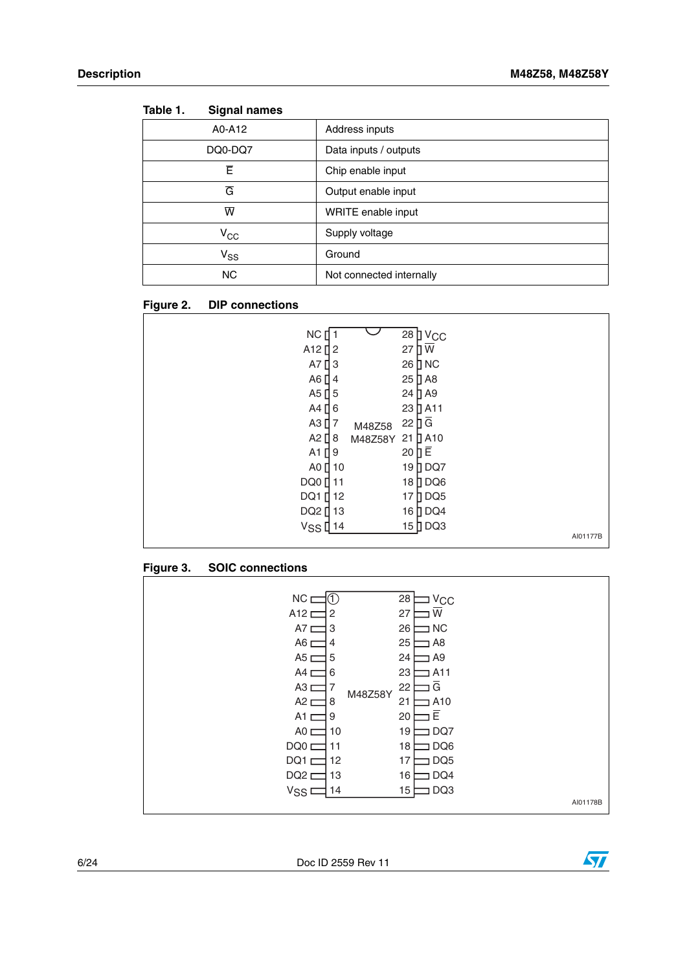٦

| iapie I.<br>Signal names |                          |
|--------------------------|--------------------------|
| A0-A12                   | Address inputs           |
| DQ0-DQ7                  | Data inputs / outputs    |
| Ē                        | Chip enable input        |
| G                        | Output enable input      |
| $\overline{\mathsf{w}}$  | WRITE enable input       |
| $\rm v_{\rm cc}$         | Supply voltage           |
| $V_{SS}$                 | Ground                   |
| <b>NC</b>                | Not connected internally |

<span id="page-5-0"></span>**Table 1. Signal names**

### <span id="page-5-1"></span>**Figure 2. DIP connections**

### <span id="page-5-2"></span>**Figure 3. SOIC connections**

| NC <sub>L</sub>   | ①              | 28<br>$V_{\rm CC}$    |          |
|-------------------|----------------|-----------------------|----------|
| A12 D             | $\overline{c}$ | W<br>27               |          |
| A7 <sub>C</sub>   | 3              | 26<br>$\sqsupset$ NC  |          |
| A <sub>6</sub> D  | $\overline{4}$ | 25<br>$\Box$ A8       |          |
| A5 L              | 5              | 24<br>A9 ב            |          |
| A4 <sub>L</sub>   | 6              | 23<br>A11             |          |
| A3 <sub>L</sub>   | 7<br>M48Z58Y   | G<br>22               |          |
| A2 <sub>L</sub>   | 8              | 21<br>A10             |          |
| A1 $\square$      | 9              | E<br>20               |          |
| AO <sub>1</sub>   | 10             | DQ7<br>19             |          |
| DQ0 <sub>L</sub>  | 11             | 18<br>DQ6             |          |
| DQ1 <sub>D</sub>  | 12             | DQ <sub>5</sub><br>17 |          |
| DQ <sub>2</sub> D | 13             | DQ4<br>16             |          |
| V <sub>SS</sub> I | 14             | DQ3<br>15             |          |
|                   |                |                       | AI01178B |

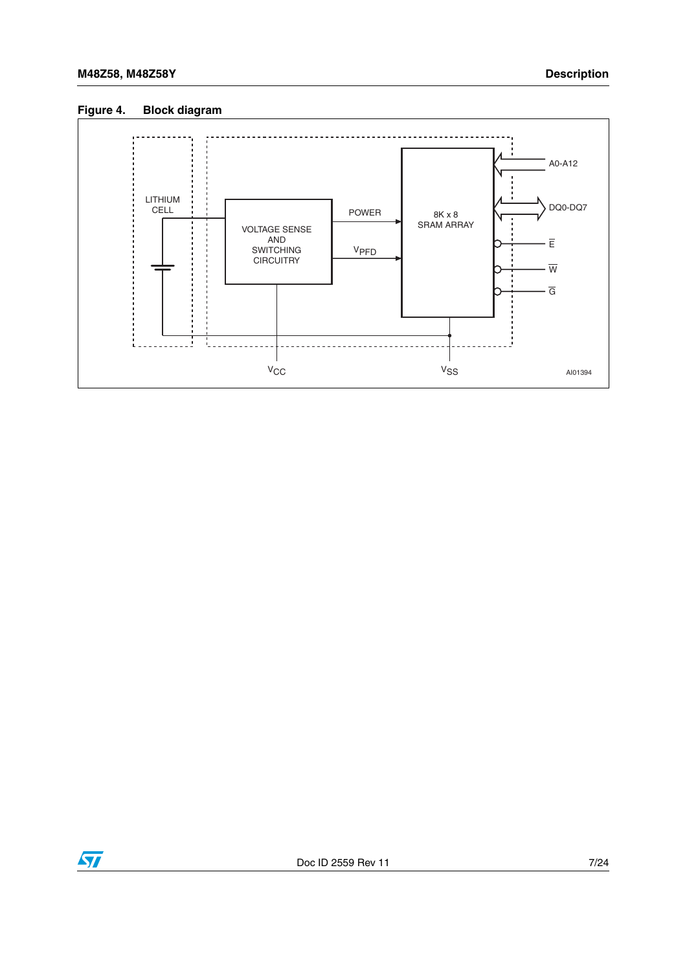### <span id="page-6-0"></span>**Figure 4. Block diagram**



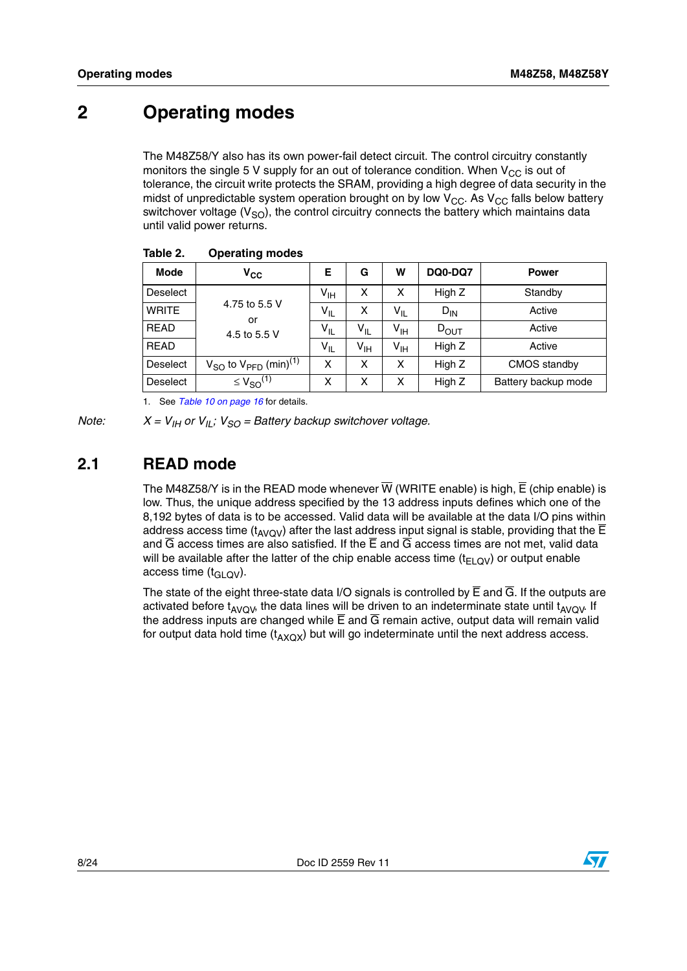## <span id="page-7-0"></span>**2 Operating modes**

The M48Z58/Y also has its own power-fail detect circuit. The control circuitry constantly monitors the single 5 V supply for an out of tolerance condition. When  $V_{CC}$  is out of tolerance, the circuit write protects the SRAM, providing a high degree of data security in the midst of unpredictable system operation brought on by low  $V_{CC}$ . As  $V_{CC}$  falls below battery switchover voltage  $(V_{SO})$ , the control circuitry connects the battery which maintains data until valid power returns.

| <b>Mode</b>     | $\mathsf{v}_{\mathsf{cc}}$                        | Е               | G               | W               | DQ0-DQ7   | <b>Power</b>        |
|-----------------|---------------------------------------------------|-----------------|-----------------|-----------------|-----------|---------------------|
| <b>Deselect</b> |                                                   | $V_{\text{IH}}$ | x               | x               | High Z    | Standby             |
| <b>WRITE</b>    | 4.75 to 5.5 V<br>or                               | $V_{IL}$        | Χ               | $V_{IL}$        | $D_{IN}$  | Active              |
| <b>READ</b>     | 4.5 to 5.5 V                                      | $V_{IL}$        | $V_{IL}$        | $V_{\text{IH}}$ | $D_{OUT}$ | Active              |
| <b>READ</b>     |                                                   | $V_{IL}$        | V <sub>IH</sub> | $V_{\text{IH}}$ | High Z    | Active              |
| <b>Deselect</b> | $V_{SO}$ to $V_{\text{PFD}}$ (min) <sup>(1)</sup> | x               | x               | X               | High Z    | CMOS standby        |
| <b>Deselect</b> | $\leq$ $V_{SO}$ <sup>(1)</sup>                    | X               | x               | X               | High Z    | Battery backup mode |

#### <span id="page-7-2"></span>**Table 2. Operating modes**

1. See *[Table 10 on page 16](#page-15-1)* for details.

# *Note:*  $X = V_{\text{IH}}$  or  $V_{\text{IL}}$ ;  $V_{\text{SO}} =$  Battery backup switchover voltage.

### <span id="page-7-1"></span>**2.1 READ mode**

The M48Z58/Y is in the READ mode whenever  $\overline{W}$  (WRITE enable) is high,  $\overline{E}$  (chip enable) is low. Thus, the unique address specified by the 13 address inputs defines which one of the 8,192 bytes of data is to be accessed. Valid data will be available at the data I/O pins within address access time ( $t_{AVOV}$ ) after the last address input signal is stable, providing that the  $\overline{E}$ and  $\overline{G}$  access times are also satisfied. If the  $\overline{E}$  and  $\overline{G}$  access times are not met, valid data will be available after the latter of the chip enable access time  $(t_{ELOV})$  or output enable access time  $(t_{GLOV})$ .

The state of the eight three-state data I/O signals is controlled by  $\overline{E}$  and  $\overline{G}$ . If the outputs are activated before  $t_{AVOV}$ , the data lines will be driven to an indeterminate state until  $t_{AVOV}$ . If the address inputs are changed while  $\overline{E}$  and  $\overline{G}$  remain active, output data will remain valid for output data hold time  $(t_{AXOX})$  but will go indeterminate until the next address access.

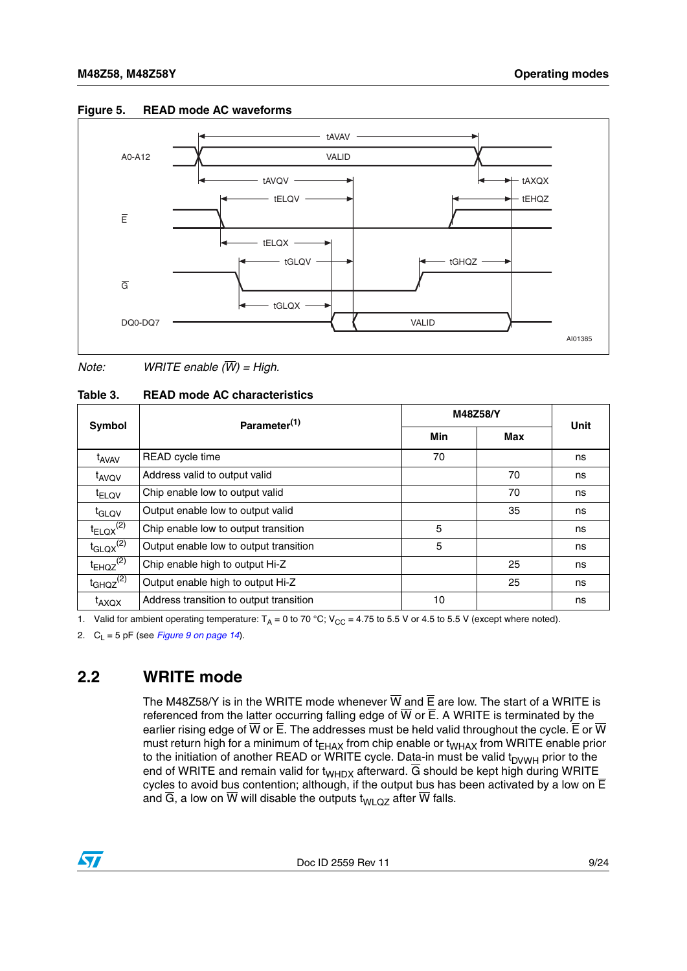

#### <span id="page-8-2"></span>**Figure 5. READ mode AC waveforms**

*Note: WRITE enable (W) = High.*

<span id="page-8-1"></span>

| Table 3. | <b>READ mode AC characteristics</b> |
|----------|-------------------------------------|
|          |                                     |

|                           | Parameter <sup>(1)</sup>                | M48Z58/Y | Unit |    |
|---------------------------|-----------------------------------------|----------|------|----|
| Symbol                    |                                         | Min      | Max  |    |
| t <sub>AVAV</sub>         | READ cycle time                         | 70       |      | ns |
| t <sub>AVQV</sub>         | Address valid to output valid           |          | 70   | ns |
| <sup>t</sup> ELQV         | Chip enable low to output valid         |          | 70   | ns |
| t <sub>GLQV</sub>         | Output enable low to output valid       |          | 35   | ns |
| $t_{ELQX}^{(2)}$          | Chip enable low to output transition    | 5        |      | ns |
| $t_{\text{GLQX}}^{(2)}$   | Output enable low to output transition  | 5        |      | ns |
| $t_{EHQZ}$ <sup>(2)</sup> | Chip enable high to output Hi-Z         |          | 25   | ns |
| $t_{GHQZ}^{(2)}$          | Output enable high to output Hi-Z       |          | 25   | ns |
| <sup>t</sup> AXQX         | Address transition to output transition | 10       |      | ns |

1. Valid for ambient operating temperature:  $T_A = 0$  to 70 °C; V<sub>CC</sub> = 4.75 to 5.5 V or 4.5 to 5.5 V (except where noted).

2.  $C_{L} = 5$  pF (see *[Figure 9 on page 14](#page-13-3)*).

### <span id="page-8-0"></span>**2.2 WRITE mode**

The M48Z58/Y is in the WRITE mode whenever  $\overline{W}$  and  $\overline{E}$  are low. The start of a WRITE is referenced from the latter occurring falling edge of  $\overline{W}$  or  $\overline{E}$ . A WRITE is terminated by the earlier rising edge of  $\overline{W}$  or  $\overline{E}$ . The addresses must be held valid throughout the cycle.  $\overline{E}$  or  $\overline{W}$ must return high for a minimum of t<sub>EHAX</sub> from chip enable or t<sub>WHAX</sub> from WRITE enable prior to the initiation of another READ or WRITE cycle. Data-in must be valid t<sub>DVWH</sub> prior to the end of WRITE and remain valid for t<sub>WHDX</sub> afterward. G should be kept high during WRITE\_ cycles to avoid bus contention; although, if the output bus has been activated by a low on E and  $\overline{G}$ , a low on  $\overline{W}$  will disable the outputs t<sub>WLQZ</sub> after  $\overline{W}$  falls.

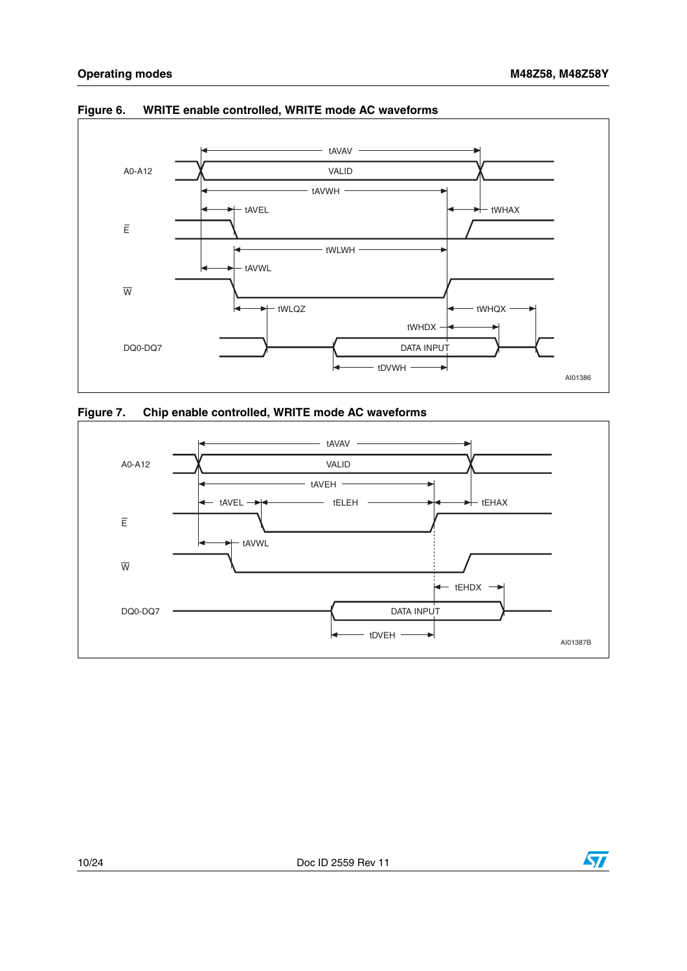

<span id="page-9-0"></span>**Figure 6. WRITE enable controlled, WRITE mode AC waveforms**

<span id="page-9-1"></span>



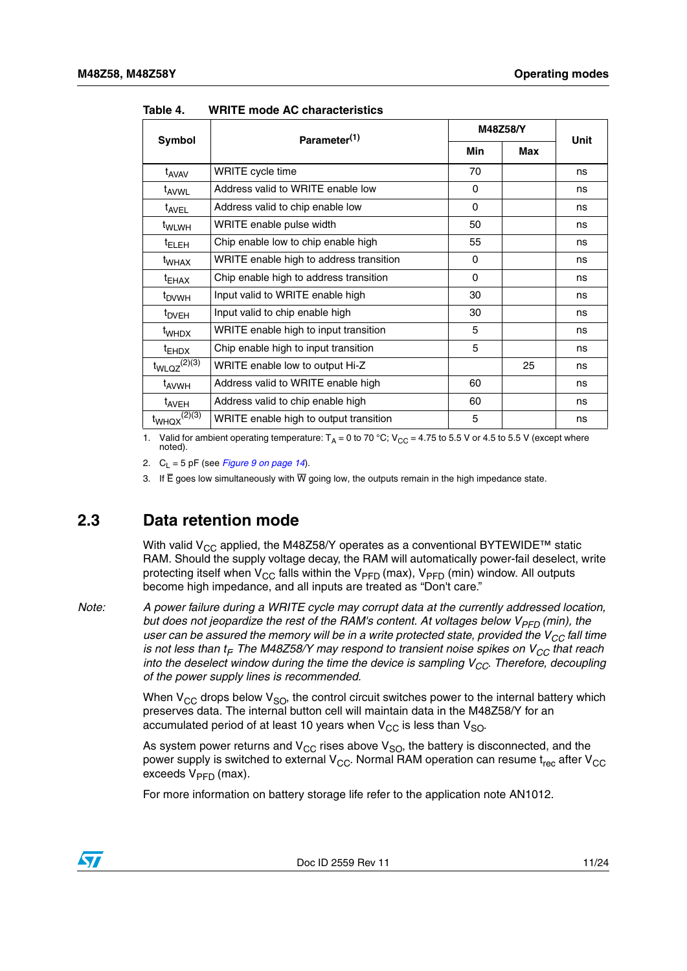|                     | Parameter <sup>(1)</sup>                | M48Z58/Y   |            | <b>Unit</b> |
|---------------------|-----------------------------------------|------------|------------|-------------|
| Symbol              |                                         | <b>Min</b> | <b>Max</b> |             |
| t <sub>AVAV</sub>   | WRITE cycle time                        | 70         |            | ns          |
| t <sub>AVWL</sub>   | Address valid to WRITE enable low       | $\Omega$   |            | ns          |
| t <sub>AVEL</sub>   | Address valid to chip enable low        | $\Omega$   |            | ns          |
| t <sub>WLWH</sub>   | WRITE enable pulse width                | 50         |            | ns          |
| <sup>t</sup> ELEH   | Chip enable low to chip enable high     | 55         |            | ns          |
| <sup>t</sup> whax   | WRITE enable high to address transition | 0          |            | ns          |
| $t_{EHAX}$          | Chip enable high to address transition  | $\Omega$   |            | ns          |
| <sup>t</sup> DVWH   | Input valid to WRITE enable high        | 30         |            | ns          |
| $t_{DVEH}$          | Input valid to chip enable high         | 30         |            | ns          |
| t <sub>WHDX</sub>   | WRITE enable high to input transition   | 5          |            | ns          |
| $t_{EHDX}$          | Chip enable high to input transition    | 5          |            | ns          |
| $t_{WLQZ}^{(2)(3)}$ | WRITE enable low to output Hi-Z         |            | 25         | ns          |
| t <sub>AVWH</sub>   | Address valid to WRITE enable high      | 60         |            | ns          |
| t <sub>AVEH</sub>   | Address valid to chip enable high       |            |            | ns          |
| $t_{WHQX}^{(2)(3)}$ | WRITE enable high to output transition  | 5          |            | ns          |

<span id="page-10-1"></span>**Table 4. WRITE mode AC characteristics**

1. Valid for ambient operating temperature:  $T_A = 0$  to 70 °C; V<sub>CC</sub> = 4.75 to 5.5 V or 4.5 to 5.5 V (except where noted).

2.  $C_1 = 5$  pF (see *[Figure 9 on page 14](#page-13-3)*).

3. If  $\overline{E}$  goes low simultaneously with  $\overline{W}$  going low, the outputs remain in the high impedance state.

### <span id="page-10-0"></span>**2.3 Data retention mode**

With valid V<sub>CC</sub> applied, the M48Z58/Y operates as a conventional BYTEWIDE<sup>™</sup> static RAM. Should the supply voltage decay, the RAM will automatically power-fail deselect, write protecting itself when  $V_{CC}$  falls within the  $V_{PFD}$  (max),  $V_{PFD}$  (min) window. All outputs become high impedance, and all inputs are treated as "Don't care."

*Note: A power failure during a WRITE cycle may corrupt data at the currently addressed location, but does not jeopardize the rest of the RAM's content. At voltages below V<sub>PFD</sub> (min), the user can be assured the memory will be in a write protected state, provided the V<sub>CC</sub> fall time is not less than t<sub>F</sub>. The M48Z58/Y may respond to transient noise spikes on V<sub>CC</sub> that reach into the deselect window during the time the device is sampling V<sub>CC</sub>. Therefore, decoupling of the power supply lines is recommended.*

> When  $V_{CC}$  drops below  $V_{SO}$ , the control circuit switches power to the internal battery which preserves data. The internal button cell will maintain data in the M48Z58/Y for an accumulated period of at least 10 years when  $V_{CC}$  is less than  $V_{SO}$ .

> As system power returns and  $V_{CC}$  rises above  $V_{SO}$ , the battery is disconnected, and the power supply is switched to external  $V_{CC}$ . Normal RAM operation can resume t<sub>rec</sub> after  $V_{CC}$ exceeds  $V_{\text{PFD}}$  (max).

For more information on battery storage life refer to the application note AN1012.

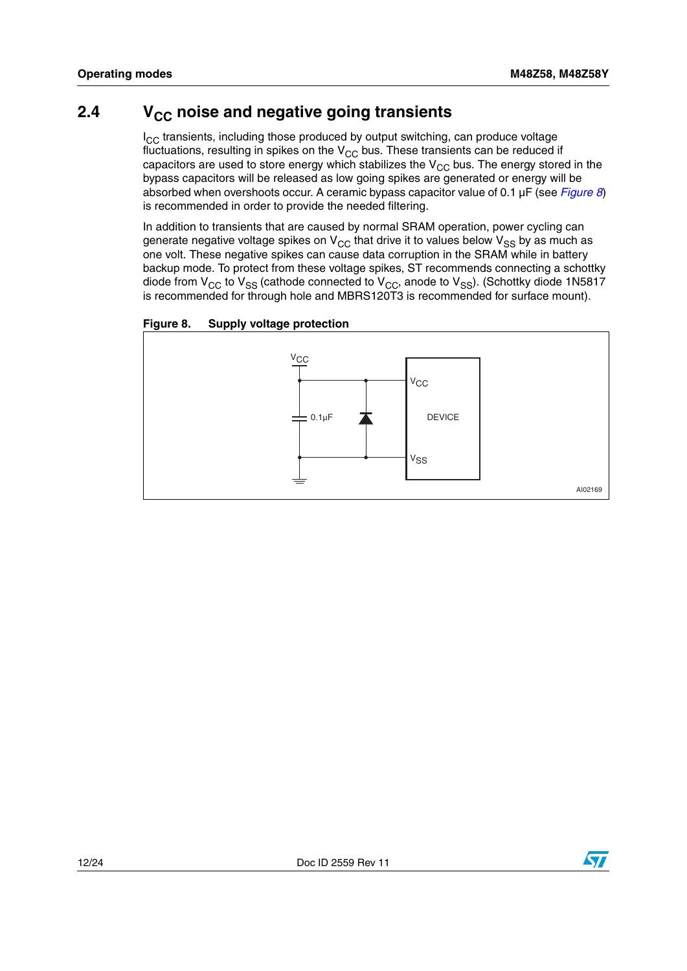### <span id="page-11-0"></span>**2.4** V<sub>CC</sub> noise and negative going transients

 $I_{CC}$  transients, including those produced by output switching, can produce voltage fluctuations, resulting in spikes on the  $V_{CC}$  bus. These transients can be reduced if capacitors are used to store energy which stabilizes the  $V_{CC}$  bus. The energy stored in the bypass capacitors will be released as low going spikes are generated or energy will be absorbed when overshoots occur. A ceramic bypass capacitor value of 0.1 µF (see *[Figure 8](#page-11-1)*) is recommended in order to provide the needed filtering.

In addition to transients that are caused by normal SRAM operation, power cycling can generate negative voltage spikes on  $V_{CC}$  that drive it to values below  $V_{SS}$  by as much as one volt. These negative spikes can cause data corruption in the SRAM while in battery backup mode. To protect from these voltage spikes, ST recommends connecting a schottky diode from  $V_{CC}$  to  $V_{SS}$  (cathode connected to  $V_{CC}$ , anode to  $V_{SS}$ ). (Schottky diode 1N5817 is recommended for through hole and MBRS120T3 is recommended for surface mount).

<span id="page-11-1"></span>



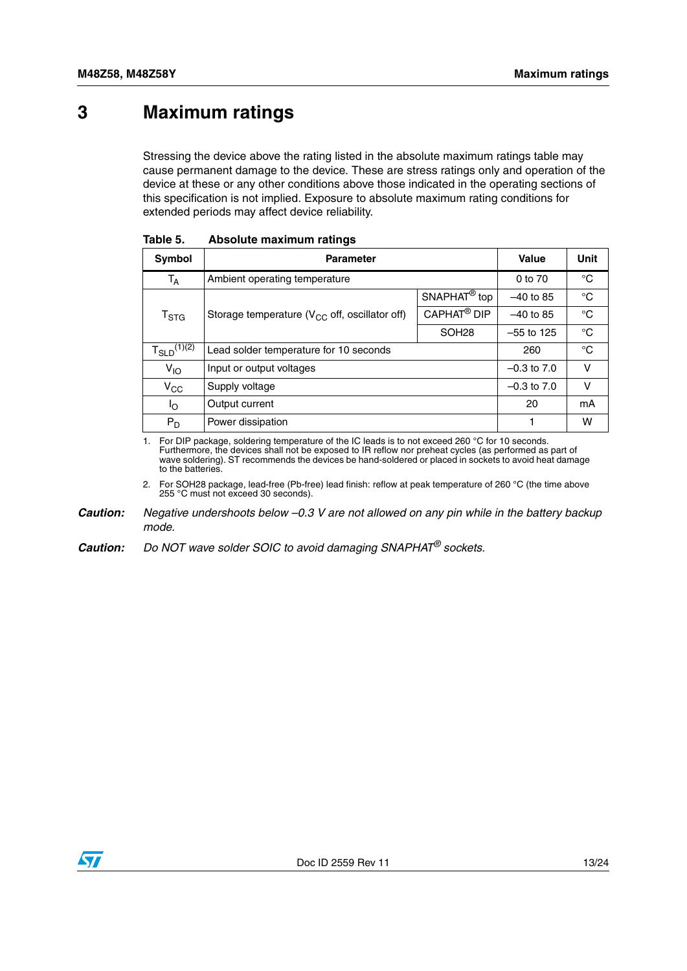## <span id="page-12-0"></span>**3 Maximum ratings**

Stressing the device above the rating listed in the absolute maximum ratings table may cause permanent damage to the device. These are stress ratings only and operation of the device at these or any other conditions above those indicated in the operating sections of this specification is not implied. Exposure to absolute maximum rating conditions for extended periods may affect device reliability.

| Symbol                      | <b>Parameter</b>                                    | Value                     | Unit         |    |
|-----------------------------|-----------------------------------------------------|---------------------------|--------------|----|
| $T_A$                       | Ambient operating temperature                       |                           | 0 to 70      | °C |
|                             |                                                     | $SNAPHAT^{\circledR}$ top | $-40$ to 85  | °C |
| $\mathsf{T}_{\textsf{STG}}$ | Storage temperature ( $V_{CC}$ off, oscillator off) | CAPHAT <sup>®</sup> DIP   | $-40$ to 85  | °C |
|                             |                                                     | SOH <sub>28</sub>         | $-55$ to 125 | °C |
| $T_{SLD}^{(1)(2)}$          | Lead solder temperature for 10 seconds              |                           | 260          | °C |
| $V_{IO}$                    | Input or output voltages                            | $-0.3$ to $7.0$           | v            |    |
| $V_{\rm CC}$                | Supply voltage                                      | $-0.3$ to $7.0$           | v            |    |
| Ιo                          | Output current                                      |                           | 20           | mA |
| $P_D$                       | Power dissipation                                   |                           | 1            | w  |

<span id="page-12-1"></span>

| Table 5. |  | Absolute maximum ratings |  |
|----------|--|--------------------------|--|
|----------|--|--------------------------|--|

<span id="page-12-2"></span>1. For DIP package, soldering temperature of the IC leads is to not exceed 260 °C for 10 seconds. Furthermore, the devices shall not be exposed to IR reflow nor preheat cycles (as performed as part of wave soldering). ST recommends the devices be hand-soldered or placed in sockets to avoid heat damage to the batteries.

2. For SOH28 package, lead-free (Pb-free) lead finish: reflow at peak temperature of 260 °C (the time above 255 °C must not exceed 30 seconds).

*Caution: Negative undershoots below –0.3 V are not allowed on any pin while in the battery backup mode.*

*Caution: Do NOT wave solder SOIC to avoid damaging SNAPHAT® sockets.*

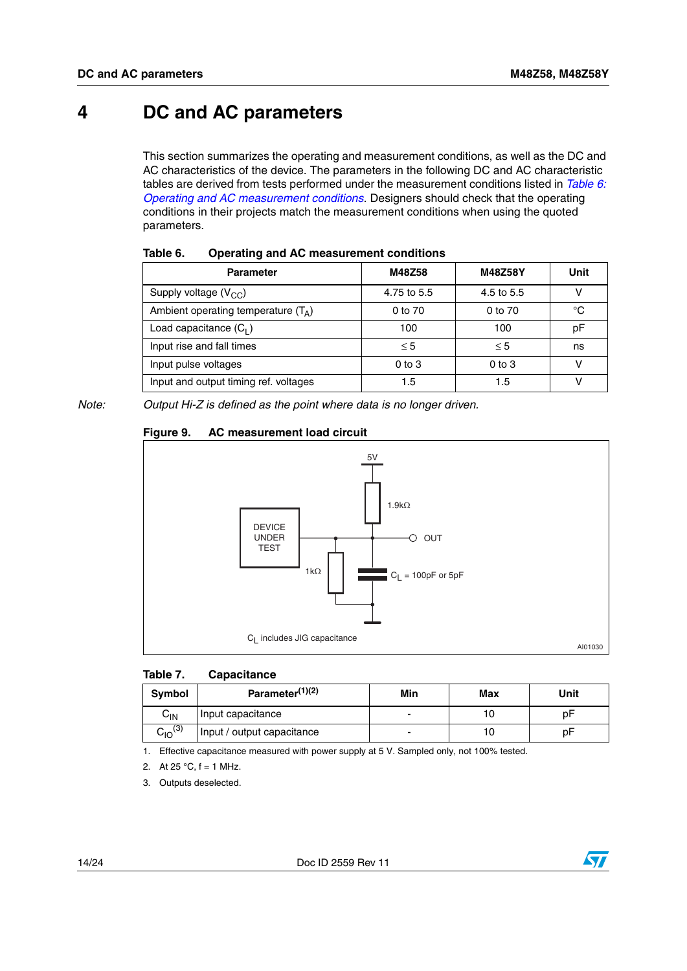## <span id="page-13-0"></span>**4 DC and AC parameters**

This section summarizes the operating and measurement conditions, as well as the DC and AC characteristics of the device. The parameters in the following DC and AC characteristic tables are derived from tests performed under the measurement conditions listed in *[Table 6:](#page-13-1)  [Operating and AC measurement conditions](#page-13-1)*. Designers should check that the operating conditions in their projects match the measurement conditions when using the quoted parameters.

| -primary man are allowed money to handle |             |            |      |
|------------------------------------------|-------------|------------|------|
| <b>Parameter</b>                         | M48Z58      | M48Z58Y    | Unit |
| Supply voltage $(V_{CC})$                | 4.75 to 5.5 | 4.5 to 5.5 |      |
| Ambient operating temperature $(T_A)$    | 0 to 70     | 0 to 70    | °C   |
| Load capacitance $(C_1)$                 | 100         | 100        | рF   |
| Input rise and fall times                | $\leq 5$    | $\leq 5$   | ns   |
| Input pulse voltages                     | $0$ to $3$  | $0$ to $3$ | v    |
| Input and output timing ref. voltages    | 1.5         | 1.5        |      |

<span id="page-13-1"></span>

| Table 6. | <b>Operating and AC measurement conditions</b> |
|----------|------------------------------------------------|
|----------|------------------------------------------------|

*Note: Output Hi-Z is defined as the point where data is no longer driven.*

### <span id="page-13-3"></span>**Figure 9. AC measurement load circuit**



#### <span id="page-13-2"></span>**Table 7. Capacitance**

| Symbol         | Parameter $(1)(2)$         | Min | Max | Unit |
|----------------|----------------------------|-----|-----|------|
| $C_{IN}$       | Input capacitance          | -   |     | рF   |
| $C_{10}^{(3)}$ | Input / output capacitance |     |     | рF   |

1. Effective capacitance measured with power supply at 5 V. Sampled only, not 100% tested.

2. At  $25^{\circ}$ C,  $f = 1$  MHz.

3. Outputs deselected.

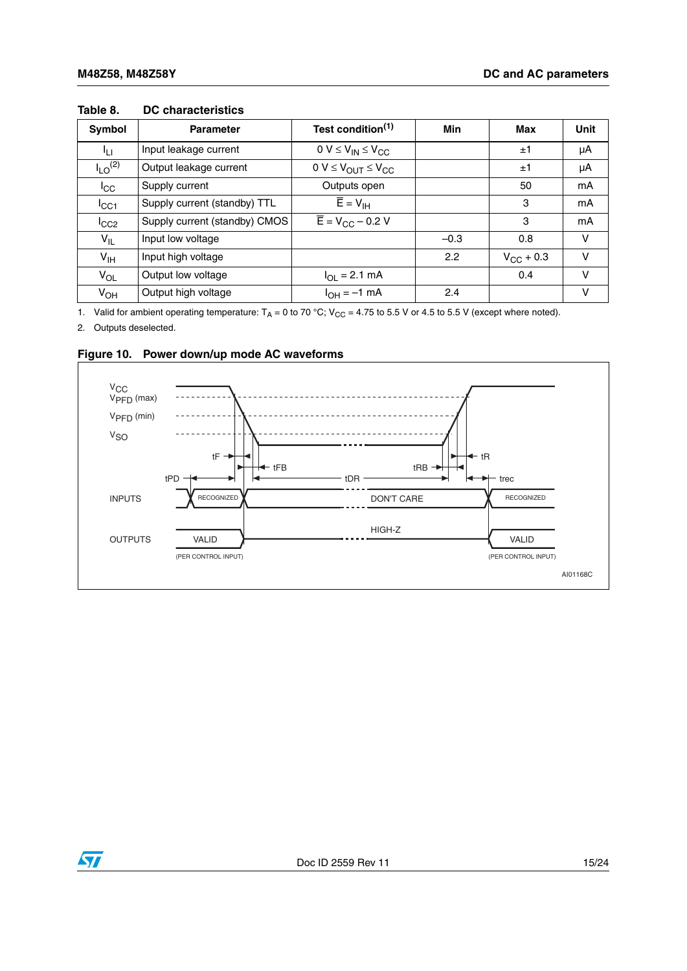| Symbol                  | Test condition <sup>(1)</sup><br><b>Parameter</b> |                                          | Min    | Max                | <b>Unit</b> |
|-------------------------|---------------------------------------------------|------------------------------------------|--------|--------------------|-------------|
| Īц                      | Input leakage current                             | $0 V \leq V_{IN} \leq V_{CC}$            |        | ±1                 | μA          |
| $I_{LO}$ <sup>(2)</sup> | Output leakage current                            | $0 V \leq V_{OUT} \leq V_{CC}$           |        | ±1                 | μA          |
| $I_{\rm CC}$            | Supply current                                    | Outputs open                             |        | 50                 | mA          |
| $I_{\rm CC1}$           | Supply current (standby) TTL                      | $\overline{E} = V_{\text{IH}}$           |        | 3                  | mA          |
| $I_{CC2}$               | Supply current (standby) CMOS                     | $\overline{E}$ = V <sub>CC</sub> – 0.2 V |        | 3                  | mA          |
| $V_{IL}$                | Input low voltage                                 |                                          | $-0.3$ | 0.8                | v           |
| $V_{\text{IH}}$         | Input high voltage                                |                                          | 2.2    | $V_{\rm CC}$ + 0.3 | $\vee$      |
| $V_{OL}$                | Output low voltage                                | $I_{OL} = 2.1$ mA                        |        | 0.4                | v           |
| $V_{OH}$                | Output high voltage                               | $I_{OH} = -1$ mA                         | 2.4    |                    | v           |

#### <span id="page-14-0"></span>**Table 8. DC characteristics**

1. Valid for ambient operating temperature:  $T_A = 0$  to 70 °C; V<sub>CC</sub> = 4.75 to 5.5 V or 4.5 to 5.5 V (except where noted).

2. Outputs deselected.



#### <span id="page-14-1"></span>**Figure 10. Power down/up mode AC waveforms**

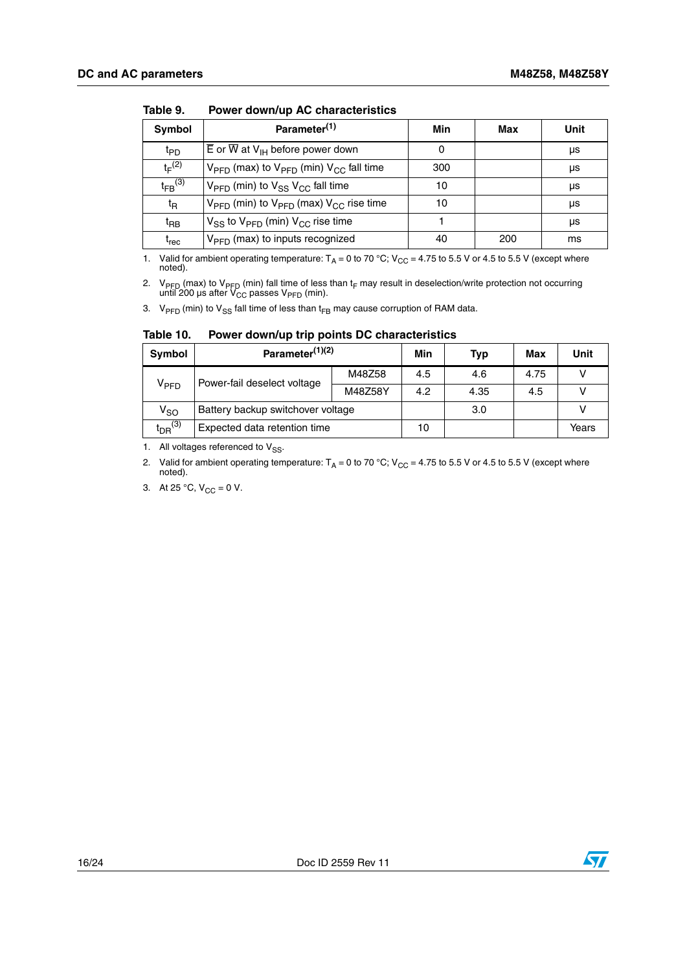| Symbol                                                                                         | Parameter <sup>(1)</sup>                    | Min | Max | Unit |
|------------------------------------------------------------------------------------------------|---------------------------------------------|-----|-----|------|
| $\overline{E}$ or $\overline{W}$ at $V_{\text{IH}}$ before power down<br>$t_{\text{PD}}$       |                                             | 0   |     | μs   |
| $t_F^{(2)}$<br>$V_{\text{PFD}}$ (max) to $V_{\text{PFD}}$ (min) $V_{\text{CC}}$ fall time      |                                             | 300 |     | μs   |
| $t_{FB}$ (3)<br>$V_{\text{PFD}}$ (min) to $V_{SS}$ $V_{CC}$ fall time                          |                                             | 10  |     | μs   |
| $V_{\text{PFD}}$ (min) to $V_{\text{PFD}}$ (max) $V_{\text{CC}}$ rise time<br>$t_{\mathsf{R}}$ |                                             | 10  |     | μs   |
| $V_{SS}$ to $V_{PFD}$ (min) $V_{CC}$ rise time<br>$t_{\mathsf{BB}}$                            |                                             |     |     | μs   |
| t <sub>rec</sub>                                                                               | V <sub>PFD</sub> (max) to inputs recognized | 40  | 200 | ms   |

<span id="page-15-0"></span>**Table 9. Power down/up AC characteristics**

1. Valid for ambient operating temperature:  $T_A = 0$  to 70 °C; V<sub>CC</sub> = 4.75 to 5.5 V or 4.5 to 5.5 V (except where noted).

2. V<sub>PFD</sub> (max) to V<sub>PFD</sub> (min) fall time of less than t<sub>F</sub> may result in deselection/write protection not occurring<br>until 200 μs after V<sub>CC</sub> passes V<sub>PFD</sub> (min).

3. V<sub>PFD</sub> (min) to V<sub>SS</sub> fall time of less than t<sub>FB</sub> may cause corruption of RAM data.

| <b>Symbol</b>                                              | Parameter <sup>(1)(2)</sup>       | Min     | <b>Typ</b> | Max  | Unit |  |
|------------------------------------------------------------|-----------------------------------|---------|------------|------|------|--|
|                                                            |                                   |         | 4.5        | 4.6  | 4.75 |  |
| Power-fail deselect voltage<br>$\mathsf{V}_{\mathsf{PFD}}$ |                                   | M48Z58Y | 4.2        | 4.35 | 4.5  |  |
| V <sub>SO</sub>                                            | Battery backup switchover voltage |         | 3.0        |      |      |  |

<span id="page-15-1"></span>**Table 10. Power down/up trip points DC characteristics**

1. All voltages referenced to  $V_{SS}$ .

2. Valid for ambient operating temperature:  $T_A = 0$  to 70 °C; V<sub>CC</sub> = 4.75 to 5.5 V or 4.5 to 5.5 V (except where noted).

Expected data retention time  $\begin{vmatrix} 1 & 10 \\ 1 & 10 \end{vmatrix}$  | Years

3. At 25 °C,  $V_{CC} = 0 V$ .

 $t_{DR}$ <sup>(3)</sup>



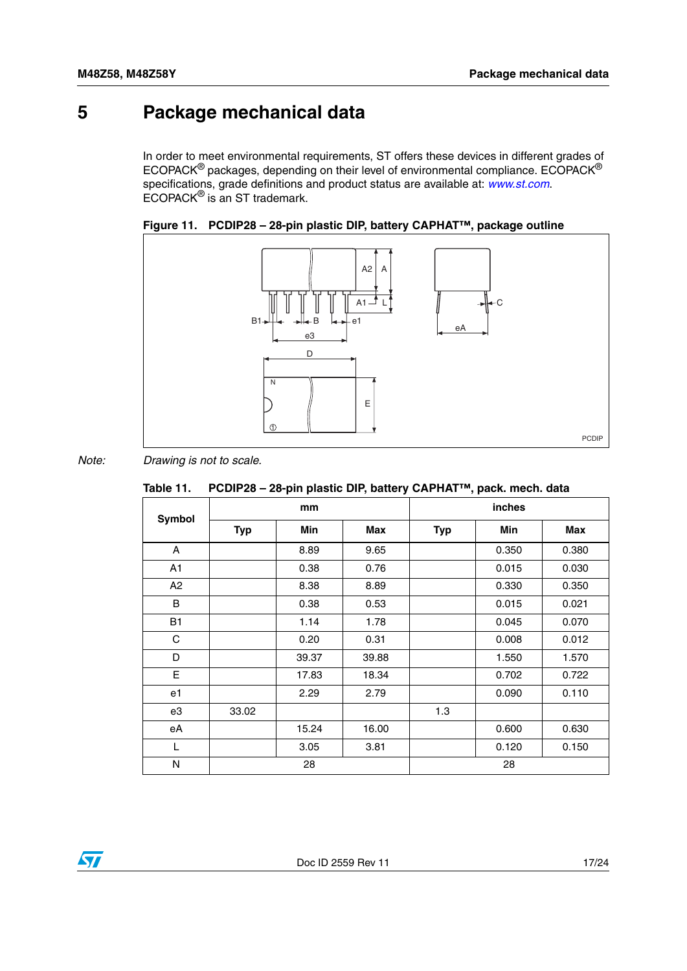# <span id="page-16-0"></span>**5 Package mechanical data**

In order to meet environmental requirements, ST offers these devices in different grades of ECOPACK® packages, depending on their level of environmental compliance. ECOPACK® specifications, grade definitions and product status are available at: *www.st.com*. ECOPACK® is an ST trademark.

<span id="page-16-2"></span>



*Note: Drawing is not to scale.*

<span id="page-16-1"></span>

|  | Table 11. PCDIP28 – 28-pin plastic DIP, battery CAPHAT™, pack. mech. data |
|--|---------------------------------------------------------------------------|
|--|---------------------------------------------------------------------------|

|               |            | mm    |       |            | inches |            |
|---------------|------------|-------|-------|------------|--------|------------|
| <b>Symbol</b> | <b>Typ</b> | Min   | Max   | <b>Typ</b> | Min    | <b>Max</b> |
| A             |            | 8.89  | 9.65  |            | 0.350  | 0.380      |
| A1            |            | 0.38  | 0.76  |            | 0.015  | 0.030      |
| A2            |            | 8.38  | 8.89  |            | 0.330  | 0.350      |
| B             |            | 0.38  | 0.53  |            | 0.015  | 0.021      |
| <b>B1</b>     |            | 1.14  | 1.78  |            | 0.045  | 0.070      |
| $\mathbf C$   |            | 0.20  | 0.31  |            | 0.008  | 0.012      |
| D             |            | 39.37 | 39.88 |            | 1.550  | 1.570      |
| E             |            | 17.83 | 18.34 |            | 0.702  | 0.722      |
| e1            |            | 2.29  | 2.79  |            | 0.090  | 0.110      |
| e3            | 33.02      |       |       | 1.3        |        |            |
| eA            |            | 15.24 | 16.00 |            | 0.600  | 0.630      |
| L             |            | 3.05  | 3.81  |            | 0.120  | 0.150      |
| N             |            | 28    |       |            | 28     |            |

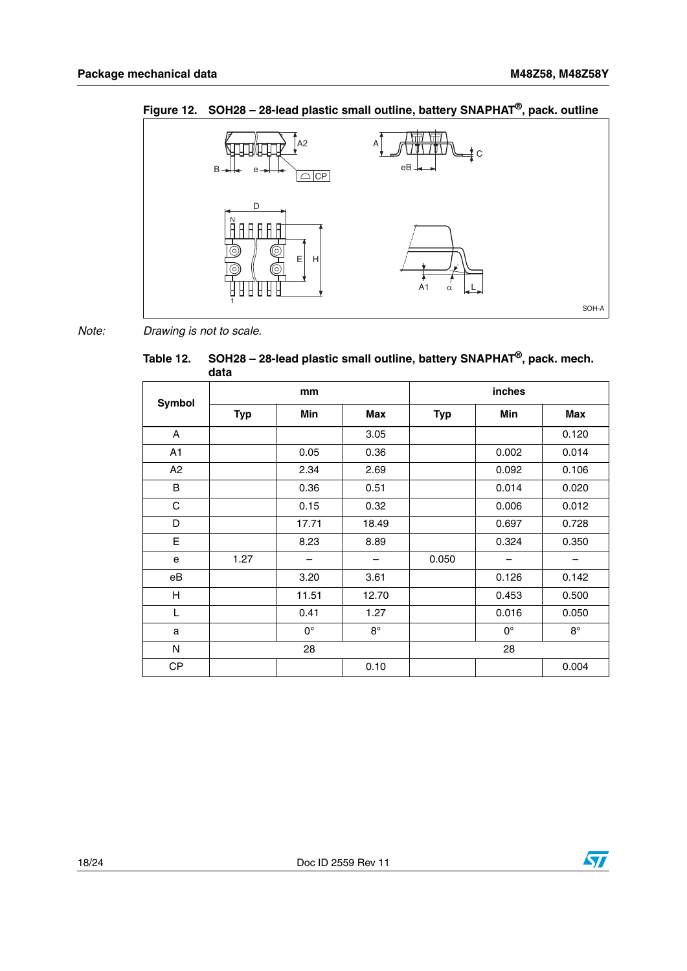

<span id="page-17-1"></span>**Figure 12. SOH28 – 28-lead plastic small outline, battery SNAPHAT®, pack. outline**

*Note: Drawing is not to scale.*

<span id="page-17-0"></span>

| Table 12. SOH28 – 28-lead plastic small outline, battery SNAPHAT <sup>®</sup> , pack. mech.<br>data |
|-----------------------------------------------------------------------------------------------------|
|                                                                                                     |

| Symbol                    |            | mm          |            |            | inches      |            |
|---------------------------|------------|-------------|------------|------------|-------------|------------|
|                           | <b>Typ</b> | Min         | <b>Max</b> | <b>Typ</b> | <b>Min</b>  | <b>Max</b> |
| Α                         |            |             | 3.05       |            |             | 0.120      |
| A1                        |            | 0.05        | 0.36       |            | 0.002       | 0.014      |
| A2                        |            | 2.34        | 2.69       |            | 0.092       | 0.106      |
| B                         |            | 0.36        | 0.51       |            | 0.014       | 0.020      |
| C                         |            | 0.15        | 0.32       |            | 0.006       | 0.012      |
| D                         |            | 17.71       | 18.49      |            | 0.697       | 0.728      |
| E                         |            | 8.23        | 8.89       |            | 0.324       | 0.350      |
| е                         | 1.27       |             |            | 0.050      |             |            |
| eB                        |            | 3.20        | 3.61       |            | 0.126       | 0.142      |
| $\boldsymbol{\mathsf{H}}$ |            | 11.51       | 12.70      |            | 0.453       | 0.500      |
| L                         |            | 0.41        | 1.27       |            | 0.016       | 0.050      |
| a                         |            | $0^{\circ}$ | $8^\circ$  |            | $0^{\circ}$ | $8^\circ$  |
| N                         |            | 28          |            |            | 28          |            |
| CP                        |            |             | 0.10       |            |             | 0.004      |

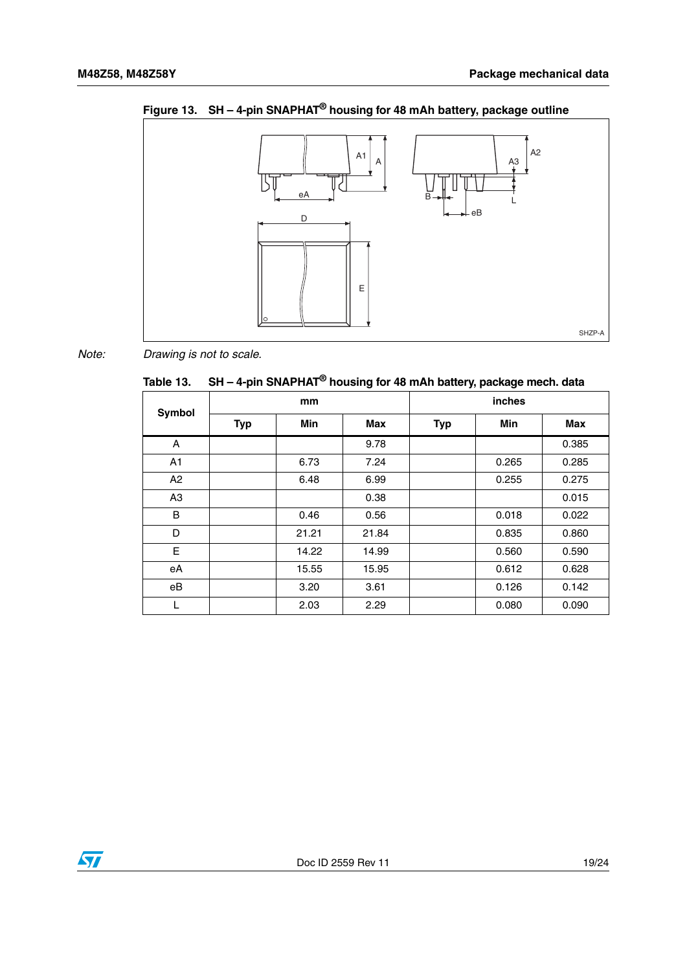

<span id="page-18-1"></span>**Figure 13. SH – 4-pin SNAPHAT® housing for 48 mAh battery, package outline**

*Note: Drawing is not to scale.*

<span id="page-18-0"></span>**Table 13. SH – 4-pin SNAPHAT® housing for 48 mAh battery, package mech. data**

| <b>Symbol</b>  |            | mm         |            |            | <b>inches</b> |            |
|----------------|------------|------------|------------|------------|---------------|------------|
|                | <b>Typ</b> | <b>Min</b> | <b>Max</b> | <b>Typ</b> | Min           | <b>Max</b> |
| A              |            |            | 9.78       |            |               | 0.385      |
| A1             |            | 6.73       | 7.24       |            | 0.265         | 0.285      |
| A2             |            | 6.48       | 6.99       |            | 0.255         | 0.275      |
| A <sub>3</sub> |            |            | 0.38       |            |               | 0.015      |
| B              |            | 0.46       | 0.56       |            | 0.018         | 0.022      |
| D              |            | 21.21      | 21.84      |            | 0.835         | 0.860      |
| E              |            | 14.22      | 14.99      |            | 0.560         | 0.590      |
| eA             |            | 15.55      | 15.95      |            | 0.612         | 0.628      |
| eB             |            | 3.20       | 3.61       |            | 0.126         | 0.142      |
|                |            | 2.03       | 2.29       |            | 0.080         | 0.090      |

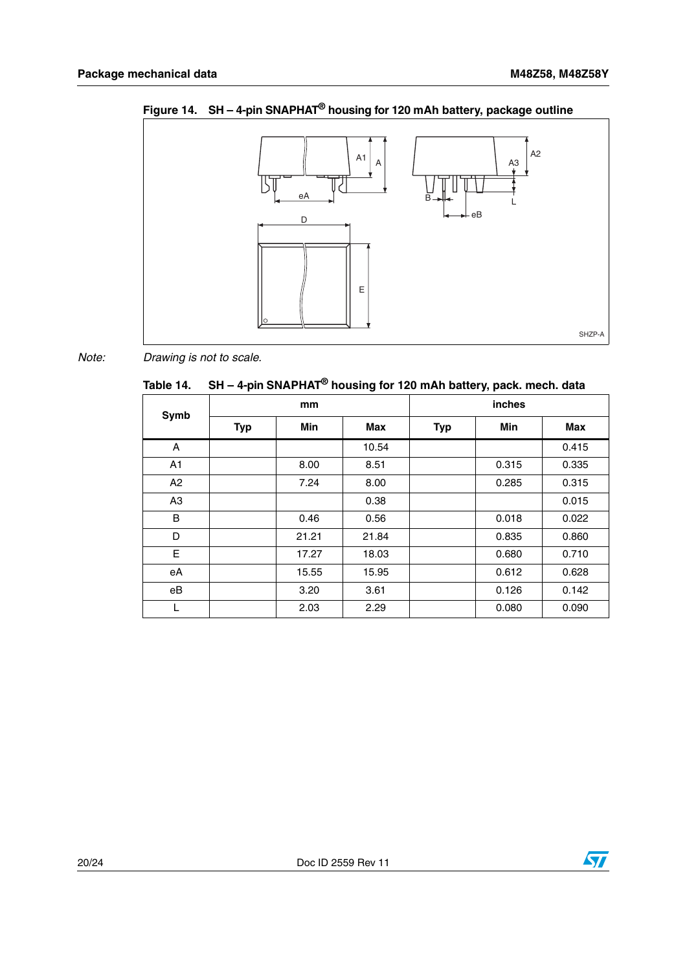A2  $A1 \mid A$ A3 Гc eA B L eB D E SHZP-A

<span id="page-19-1"></span>

*Note: Drawing is not to scale.*

<span id="page-19-0"></span>

| Table 14. $\,$ SH – 4-pin SNAPHAT $^{\circledR}$ housing for 120 mAh battery, pack. mech. data |
|------------------------------------------------------------------------------------------------|
|                                                                                                |

| Symb | mm         |            |            | inches     |            |            |
|------|------------|------------|------------|------------|------------|------------|
|      | <b>Typ</b> | <b>Min</b> | <b>Max</b> | <b>Typ</b> | <b>Min</b> | <b>Max</b> |
| A    |            |            | 10.54      |            |            | 0.415      |
| A1   |            | 8.00       | 8.51       |            | 0.315      | 0.335      |
| A2   |            | 7.24       | 8.00       |            | 0.285      | 0.315      |
| A3   |            |            | 0.38       |            |            | 0.015      |
| B    |            | 0.46       | 0.56       |            | 0.018      | 0.022      |
| D    |            | 21.21      | 21.84      |            | 0.835      | 0.860      |
| E    |            | 17.27      | 18.03      |            | 0.680      | 0.710      |
| eA   |            | 15.55      | 15.95      |            | 0.612      | 0.628      |
| eB   |            | 3.20       | 3.61       |            | 0.126      | 0.142      |
| L    |            | 2.03       | 2.29       |            | 0.080      | 0.090      |

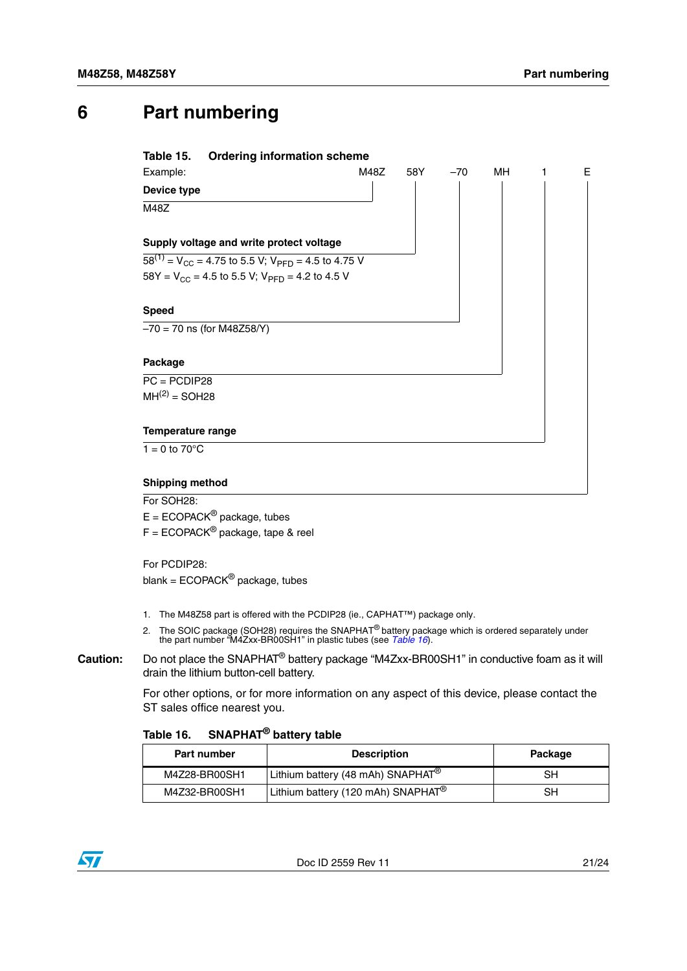## <span id="page-20-0"></span>**6 Part numbering**

<span id="page-20-1"></span>

For SOH<sub>28</sub>:

 $E = ECOPACK^{\circledcirc}$  package, tubes

 $F = ECOPACK^{\circledcirc}$  package, tape & reel

For PCDIP28: blank =  $ECOPACK^{\circledR}$  package, tubes

- 1. The M48Z58 part is offered with the PCDIP28 (ie., CAPHAT™) package only.
- 2. The SOIC package (SOH28) requires the SNAPHAT® battery package which is ordered separately under the part number "M4Zxx-BR00SH1" in plastic tubes (see *[Table 16](#page-20-2)*).
- **Caution:** Do not place the SNAPHAT® battery package "M4Zxx-BR00SH1" in conductive foam as it will drain the lithium button-cell battery.

For other options, or for more information on any aspect of this device, please contact the ST sales office nearest you.

### <span id="page-20-2"></span>**Table 16. SNAPHAT® battery table**

| <b>Part number</b> | <b>Description</b>                             | Package |
|--------------------|------------------------------------------------|---------|
| M4Z28-BR00SH1      | Lithium battery (48 mAh) SNAPHAT <sup>®</sup>  | SН      |
| M4Z32-BR00SH1      | Lithium battery (120 mAh) SNAPHAT <sup>®</sup> | SН      |

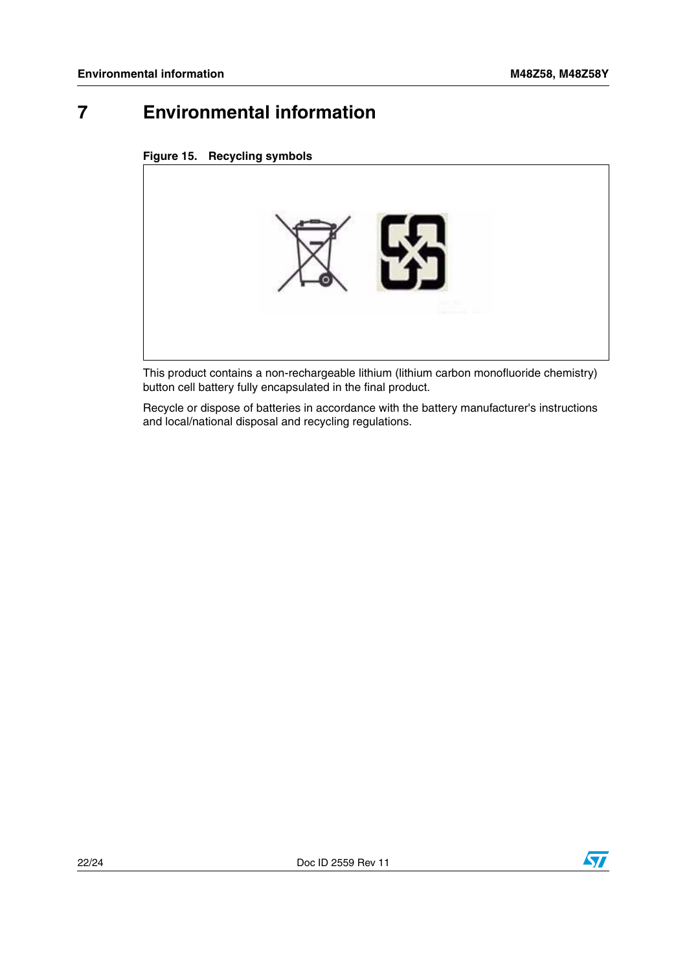## <span id="page-21-0"></span>**7 Environmental information**

<span id="page-21-1"></span>



This product contains a non-rechargeable lithium (lithium carbon monofluoride chemistry) button cell battery fully encapsulated in the final product.

Recycle or dispose of batteries in accordance with the battery manufacturer's instructions and local/national disposal and recycling regulations.

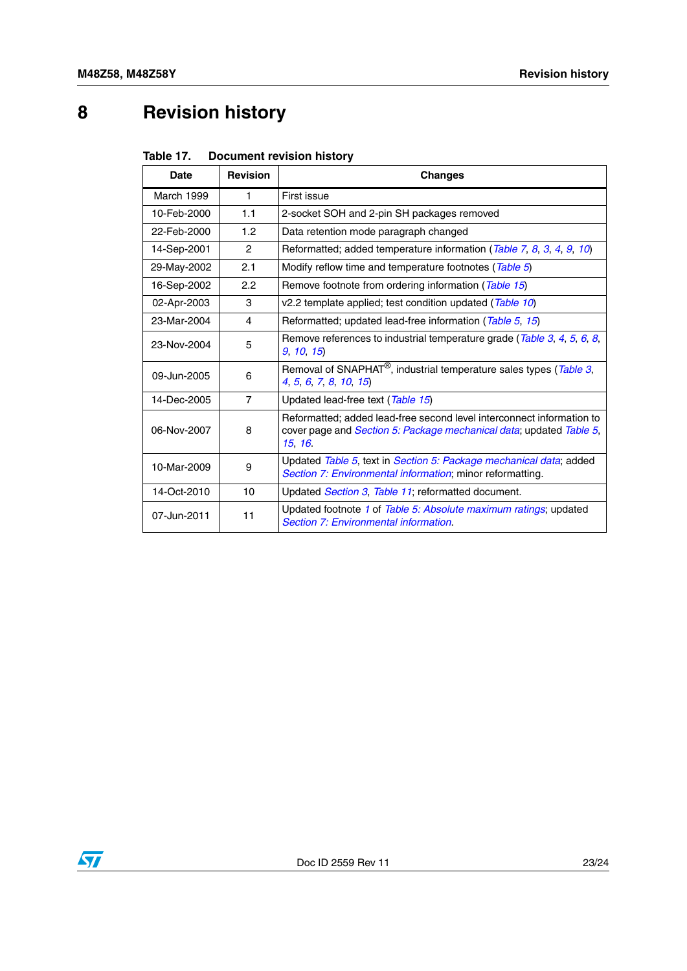# <span id="page-22-0"></span>**8 Revision history**

<span id="page-22-1"></span>

| Table 17. | <b>Document revision history</b> |
|-----------|----------------------------------|
|           |                                  |

| Date        | <b>Revision</b>  | <b>Changes</b>                                                                                                                                                        |
|-------------|------------------|-----------------------------------------------------------------------------------------------------------------------------------------------------------------------|
| March 1999  | $\mathbf{1}$     | First issue                                                                                                                                                           |
| 10-Feb-2000 | 1.1              | 2-socket SOH and 2-pin SH packages removed                                                                                                                            |
| 22-Feb-2000 | 1.2 <sub>2</sub> | Data retention mode paragraph changed                                                                                                                                 |
| 14-Sep-2001 | $\mathcal{P}$    | Reformatted; added temperature information (Table 7, 8, 3, 4, 9, 10)                                                                                                  |
| 29-May-2002 | 2.1              | Modify reflow time and temperature footnotes (Table 5)                                                                                                                |
| 16-Sep-2002 | 2.2              | Remove footnote from ordering information (Table 15)                                                                                                                  |
| 02-Apr-2003 | 3                | v2.2 template applied; test condition updated (Table 10)                                                                                                              |
| 23-Mar-2004 | 4                | Reformatted; updated lead-free information (Table 5, 15)                                                                                                              |
| 23-Nov-2004 | 5                | Remove references to industrial temperature grade (Table 3, 4, 5, 6, 8,<br>9 10 15)                                                                                   |
| 09-Jun-2005 | 6                | Removal of SNAPHAT <sup>®</sup> , industrial temperature sales types (Table 3,<br>4, 5, 6, 7, 8, 10, 15)                                                              |
| 14-Dec-2005 | $\overline{7}$   | Updated lead-free text (Table 15)                                                                                                                                     |
| 06-Nov-2007 | 8                | Reformatted: added lead-free second level interconnect information to<br>cover page and <i>Section 5: Package mechanical data</i> ; updated <i>Table 5</i> ,<br>15 16 |
| 10-Mar-2009 | 9                | Updated Table 5, text in Section 5: Package mechanical data; added<br>Section 7: Environmental information; minor reformatting.                                       |
| 14-Oct-2010 | 10               | Updated <i>Section 3, Table 11</i> ; reformatted document.                                                                                                            |
| 07-Jun-2011 | 11               | Updated footnote 1 of Table 5: Absolute maximum ratings; updated<br>Section 7: Environmental information.                                                             |